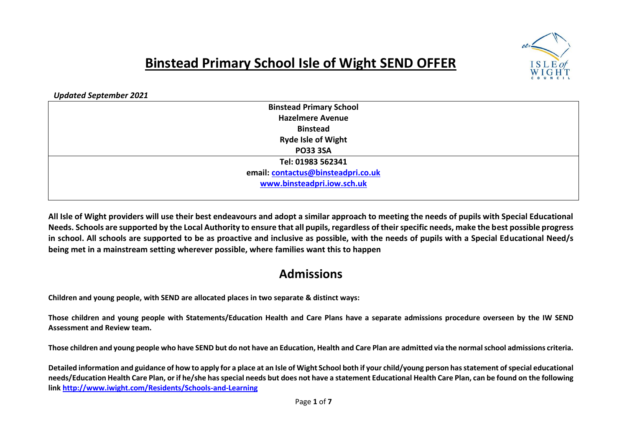

## **Binstead Primary School Isle of Wight SEND OFFER**

*Updated September 2021*

| <b>Binstead Primary School</b>     |
|------------------------------------|
| <b>Hazelmere Avenue</b>            |
| <b>Binstead</b>                    |
| <b>Ryde Isle of Wight</b>          |
| <b>PO33 3SA</b>                    |
| Tel: 01983 562341                  |
| email: contactus@binsteadpri.co.uk |
| www.binsteadpri.iow.sch.uk         |
|                                    |

**All Isle of Wight providers will use their best endeavours and adopt a similar approach to meeting the needs of pupils with Special Educational Needs. Schools are supported by the Local Authority to ensure that all pupils, regardless of their specific needs, make the best possible progress in school. All schools are supported to be as proactive and inclusive as possible, with the needs of pupils with a Special Educational Need/s being met in a mainstream setting wherever possible, where families want this to happen**

## **Admissions**

**Children and young people, with SEND are allocated places in two separate & distinct ways:**

**Those children and young people with Statements/Education Health and Care Plans have a separate admissions procedure overseen by the IW SEND Assessment and Review team.**

**Those children and young people who have SEND but do not have an Education, Health and Care Plan are admitted via the normal school admissions criteria.**

**Detailed information and guidance of how to apply for a place at an Isle of Wight School both if your child/young person has statement of special educational needs/Education Health Care Plan, or if he/she has special needs but does not have a statement Educational Health Care Plan, can be found on the following link <http://www.iwight.com/Residents/Schools-and-Learning>**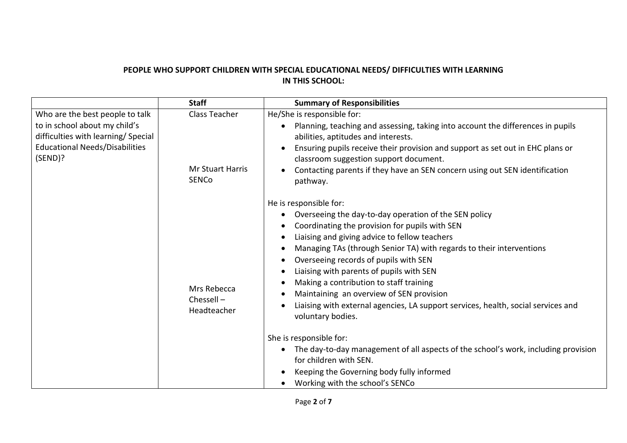## **PEOPLE WHO SUPPORT CHILDREN WITH SPECIAL EDUCATIONAL NEEDS/ DIFFICULTIES WITH LEARNING IN THIS SCHOOL:**

|                                                                                                                                                             | <b>Staff</b>                                             | <b>Summary of Responsibilities</b>                                                                                                                                                                                                                                                                                                                                                                                                                                                                                                                                                                                                                                                                                                                                                                                                                                         |
|-------------------------------------------------------------------------------------------------------------------------------------------------------------|----------------------------------------------------------|----------------------------------------------------------------------------------------------------------------------------------------------------------------------------------------------------------------------------------------------------------------------------------------------------------------------------------------------------------------------------------------------------------------------------------------------------------------------------------------------------------------------------------------------------------------------------------------------------------------------------------------------------------------------------------------------------------------------------------------------------------------------------------------------------------------------------------------------------------------------------|
| Who are the best people to talk<br>to in school about my child's<br>difficulties with learning/ Special<br><b>Educational Needs/Disabilities</b><br>(SEND)? | Class Teacher<br><b>Mr Stuart Harris</b><br><b>SENCo</b> | He/She is responsible for:<br>Planning, teaching and assessing, taking into account the differences in pupils<br>$\bullet$<br>abilities, aptitudes and interests.<br>Ensuring pupils receive their provision and support as set out in EHC plans or<br>$\bullet$<br>classroom suggestion support document.<br>Contacting parents if they have an SEN concern using out SEN identification<br>$\bullet$<br>pathway.                                                                                                                                                                                                                                                                                                                                                                                                                                                         |
|                                                                                                                                                             | Mrs Rebecca<br>Chessell-<br>Headteacher                  | He is responsible for:<br>Overseeing the day-to-day operation of the SEN policy<br>٠<br>Coordinating the provision for pupils with SEN<br>٠<br>Liaising and giving advice to fellow teachers<br>٠<br>Managing TAs (through Senior TA) with regards to their interventions<br>٠<br>Overseeing records of pupils with SEN<br>٠<br>Liaising with parents of pupils with SEN<br>$\bullet$<br>Making a contribution to staff training<br>Maintaining an overview of SEN provision<br>٠<br>Liaising with external agencies, LA support services, health, social services and<br>$\bullet$<br>voluntary bodies.<br>She is responsible for:<br>The day-to-day management of all aspects of the school's work, including provision<br>$\bullet$<br>for children with SEN.<br>Keeping the Governing body fully informed<br>$\bullet$<br>Working with the school's SENCo<br>$\bullet$ |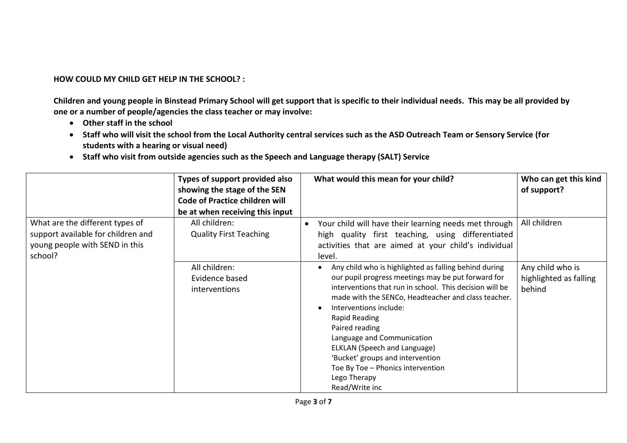## **HOW COULD MY CHILD GET HELP IN THE SCHOOL? :**

**Children and young people in Binstead Primary School will get support that is specific to their individual needs. This may be all provided by one or a number of people/agencies the class teacher or may involve:** 

- **Other staff in the school**
- **Staff who will visit the school from the Local Authority central services such as the ASD Outreach Team or Sensory Service (for students with a hearing or visual need)**
- **Staff who visit from outside agencies such as the Speech and Language therapy (SALT) Service**

|                                                                                                                    | Types of support provided also<br>showing the stage of the SEN<br><b>Code of Practice children will</b><br>be at when receiving this input | What would this mean for your child?                                                                                                                                                                                                                                                                                                                                                                                                                                | Who can get this kind<br>of support?                 |
|--------------------------------------------------------------------------------------------------------------------|--------------------------------------------------------------------------------------------------------------------------------------------|---------------------------------------------------------------------------------------------------------------------------------------------------------------------------------------------------------------------------------------------------------------------------------------------------------------------------------------------------------------------------------------------------------------------------------------------------------------------|------------------------------------------------------|
| What are the different types of<br>support available for children and<br>young people with SEND in this<br>school? | All children:<br><b>Quality First Teaching</b>                                                                                             | Your child will have their learning needs met through<br>high quality first teaching, using differentiated<br>activities that are aimed at your child's individual<br>level.                                                                                                                                                                                                                                                                                        | All children                                         |
|                                                                                                                    | All children:<br>Evidence based<br>interventions                                                                                           | Any child who is highlighted as falling behind during<br>our pupil progress meetings may be put forward for<br>interventions that run in school. This decision will be<br>made with the SENCo, Headteacher and class teacher.<br>Interventions include:<br>Rapid Reading<br>Paired reading<br>Language and Communication<br>ELKLAN (Speech and Language)<br>'Bucket' groups and intervention<br>Toe By Toe - Phonics intervention<br>Lego Therapy<br>Read/Write inc | Any child who is<br>highlighted as falling<br>behind |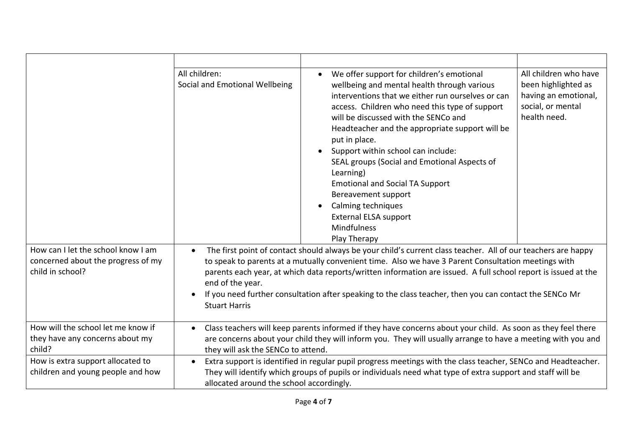|                                                                                              | All children:<br>Social and Emotional Wellbeing       | We offer support for children's emotional<br>wellbeing and mental health through various<br>interventions that we either run ourselves or can<br>access. Children who need this type of support<br>will be discussed with the SENCo and<br>Headteacher and the appropriate support will be<br>put in place.<br>Support within school can include:<br>SEAL groups (Social and Emotional Aspects of<br>Learning)<br><b>Emotional and Social TA Support</b><br>Bereavement support<br>Calming techniques<br><b>External ELSA support</b><br><b>Mindfulness</b><br>Play Therapy | All children who have<br>been highlighted as<br>having an emotional,<br>social, or mental<br>health need. |
|----------------------------------------------------------------------------------------------|-------------------------------------------------------|-----------------------------------------------------------------------------------------------------------------------------------------------------------------------------------------------------------------------------------------------------------------------------------------------------------------------------------------------------------------------------------------------------------------------------------------------------------------------------------------------------------------------------------------------------------------------------|-----------------------------------------------------------------------------------------------------------|
| How can I let the school know I am<br>concerned about the progress of my<br>child in school? | $\bullet$<br>end of the year.<br><b>Stuart Harris</b> | The first point of contact should always be your child's current class teacher. All of our teachers are happy<br>to speak to parents at a mutually convenient time. Also we have 3 Parent Consultation meetings with<br>parents each year, at which data reports/written information are issued. A full school report is issued at the<br>If you need further consultation after speaking to the class teacher, then you can contact the SENCo Mr                                                                                                                           |                                                                                                           |
| How will the school let me know if<br>they have any concerns about my<br>child?              | $\bullet$<br>they will ask the SENCo to attend.       | Class teachers will keep parents informed if they have concerns about your child. As soon as they feel there<br>are concerns about your child they will inform you. They will usually arrange to have a meeting with you and                                                                                                                                                                                                                                                                                                                                                |                                                                                                           |
| How is extra support allocated to<br>children and young people and how                       | $\bullet$<br>allocated around the school accordingly. | Extra support is identified in regular pupil progress meetings with the class teacher, SENCo and Headteacher.<br>They will identify which groups of pupils or individuals need what type of extra support and staff will be                                                                                                                                                                                                                                                                                                                                                 |                                                                                                           |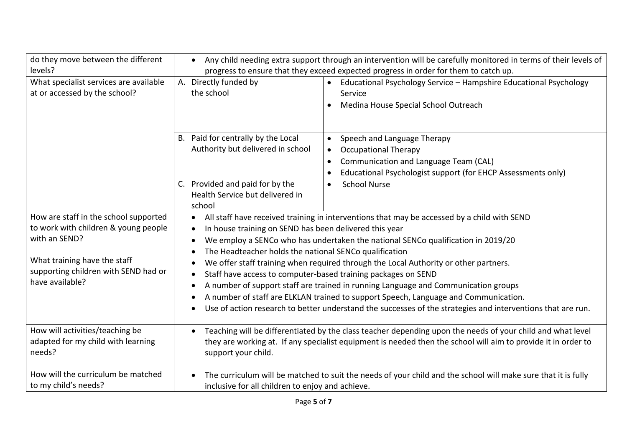| do they move between the different<br>levels?                                                                                                                                             | Any child needing extra support through an intervention will be carefully monitored in terms of their levels of<br>$\bullet$<br>progress to ensure that they exceed expected progress in order for them to catch up.                                                                      |                                                                                                                                                                                                                                                                                                                                                                                                                                                                                                                                                                     |
|-------------------------------------------------------------------------------------------------------------------------------------------------------------------------------------------|-------------------------------------------------------------------------------------------------------------------------------------------------------------------------------------------------------------------------------------------------------------------------------------------|---------------------------------------------------------------------------------------------------------------------------------------------------------------------------------------------------------------------------------------------------------------------------------------------------------------------------------------------------------------------------------------------------------------------------------------------------------------------------------------------------------------------------------------------------------------------|
| What specialist services are available<br>at or accessed by the school?                                                                                                                   | A. Directly funded by<br>the school                                                                                                                                                                                                                                                       | Educational Psychology Service - Hampshire Educational Psychology<br>$\bullet$<br>Service<br>Medina House Special School Outreach<br>$\bullet$                                                                                                                                                                                                                                                                                                                                                                                                                      |
|                                                                                                                                                                                           | B. Paid for centrally by the Local<br>Authority but delivered in school                                                                                                                                                                                                                   | Speech and Language Therapy<br>$\bullet$<br><b>Occupational Therapy</b><br>$\bullet$<br>Communication and Language Team (CAL)<br>$\bullet$<br>Educational Psychologist support (for EHCP Assessments only)                                                                                                                                                                                                                                                                                                                                                          |
|                                                                                                                                                                                           | C. Provided and paid for by the<br>Health Service but delivered in<br>school                                                                                                                                                                                                              | <b>School Nurse</b><br>$\bullet$                                                                                                                                                                                                                                                                                                                                                                                                                                                                                                                                    |
| How are staff in the school supported<br>to work with children & young people<br>with an SEND?<br>What training have the staff<br>supporting children with SEND had or<br>have available? | $\bullet$<br>In house training on SEND has been delivered this year<br>$\bullet$<br>$\bullet$<br>The Headteacher holds the national SENCo qualification<br>$\bullet$<br>$\bullet$<br>Staff have access to computer-based training packages on SEND<br>$\bullet$<br>$\bullet$<br>$\bullet$ | All staff have received training in interventions that may be accessed by a child with SEND<br>We employ a SENCo who has undertaken the national SENCo qualification in 2019/20<br>We offer staff training when required through the Local Authority or other partners.<br>A number of support staff are trained in running Language and Communication groups<br>A number of staff are ELKLAN trained to support Speech, Language and Communication.<br>Use of action research to better understand the successes of the strategies and interventions that are run. |
| How will activities/teaching be<br>adapted for my child with learning<br>needs?                                                                                                           | $\bullet$<br>support your child.                                                                                                                                                                                                                                                          | Teaching will be differentiated by the class teacher depending upon the needs of your child and what level<br>they are working at. If any specialist equipment is needed then the school will aim to provide it in order to                                                                                                                                                                                                                                                                                                                                         |
| How will the curriculum be matched<br>to my child's needs?                                                                                                                                | inclusive for all children to enjoy and achieve.                                                                                                                                                                                                                                          | The curriculum will be matched to suit the needs of your child and the school will make sure that it is fully                                                                                                                                                                                                                                                                                                                                                                                                                                                       |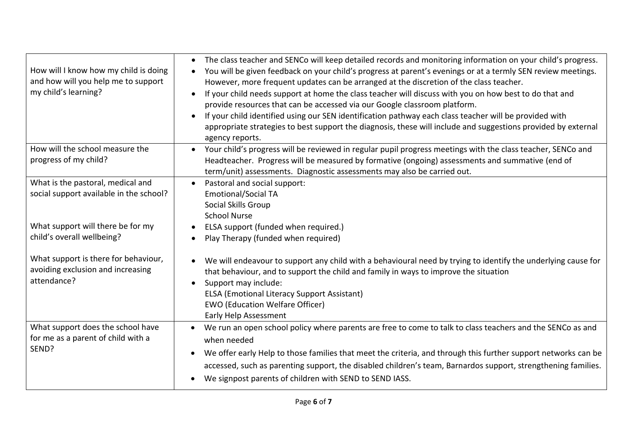| How will I know how my child is doing<br>and how will you help me to support<br>my child's learning? | The class teacher and SENCo will keep detailed records and monitoring information on your child's progress.<br>$\bullet$<br>You will be given feedback on your child's progress at parent's evenings or at a termly SEN review meetings.<br>However, more frequent updates can be arranged at the discretion of the class teacher.<br>If your child needs support at home the class teacher will discuss with you on how best to do that and<br>provide resources that can be accessed via our Google classroom platform.<br>If your child identified using our SEN identification pathway each class teacher will be provided with<br>appropriate strategies to best support the diagnosis, these will include and suggestions provided by external<br>agency reports. |
|------------------------------------------------------------------------------------------------------|-------------------------------------------------------------------------------------------------------------------------------------------------------------------------------------------------------------------------------------------------------------------------------------------------------------------------------------------------------------------------------------------------------------------------------------------------------------------------------------------------------------------------------------------------------------------------------------------------------------------------------------------------------------------------------------------------------------------------------------------------------------------------|
| How will the school measure the<br>progress of my child?                                             | Your child's progress will be reviewed in regular pupil progress meetings with the class teacher, SENCo and<br>$\bullet$<br>Headteacher. Progress will be measured by formative (ongoing) assessments and summative (end of<br>term/unit) assessments. Diagnostic assessments may also be carried out.                                                                                                                                                                                                                                                                                                                                                                                                                                                                  |
| What is the pastoral, medical and<br>social support available in the school?                         | Pastoral and social support:<br><b>Emotional/Social TA</b><br>Social Skills Group<br><b>School Nurse</b>                                                                                                                                                                                                                                                                                                                                                                                                                                                                                                                                                                                                                                                                |
| What support will there be for my<br>child's overall wellbeing?                                      | ELSA support (funded when required.)<br>Play Therapy (funded when required)                                                                                                                                                                                                                                                                                                                                                                                                                                                                                                                                                                                                                                                                                             |
| What support is there for behaviour,<br>avoiding exclusion and increasing<br>attendance?             | We will endeavour to support any child with a behavioural need by trying to identify the underlying cause for<br>that behaviour, and to support the child and family in ways to improve the situation<br>Support may include:<br>$\bullet$<br><b>ELSA (Emotional Literacy Support Assistant)</b><br><b>EWO</b> (Education Welfare Officer)<br>Early Help Assessment                                                                                                                                                                                                                                                                                                                                                                                                     |
| What support does the school have<br>for me as a parent of child with a<br>SEND?                     | We run an open school policy where parents are free to come to talk to class teachers and the SENCo as and<br>when needed<br>We offer early Help to those families that meet the criteria, and through this further support networks can be<br>accessed, such as parenting support, the disabled children's team, Barnardos support, strengthening families.<br>We signpost parents of children with SEND to SEND IASS.                                                                                                                                                                                                                                                                                                                                                 |